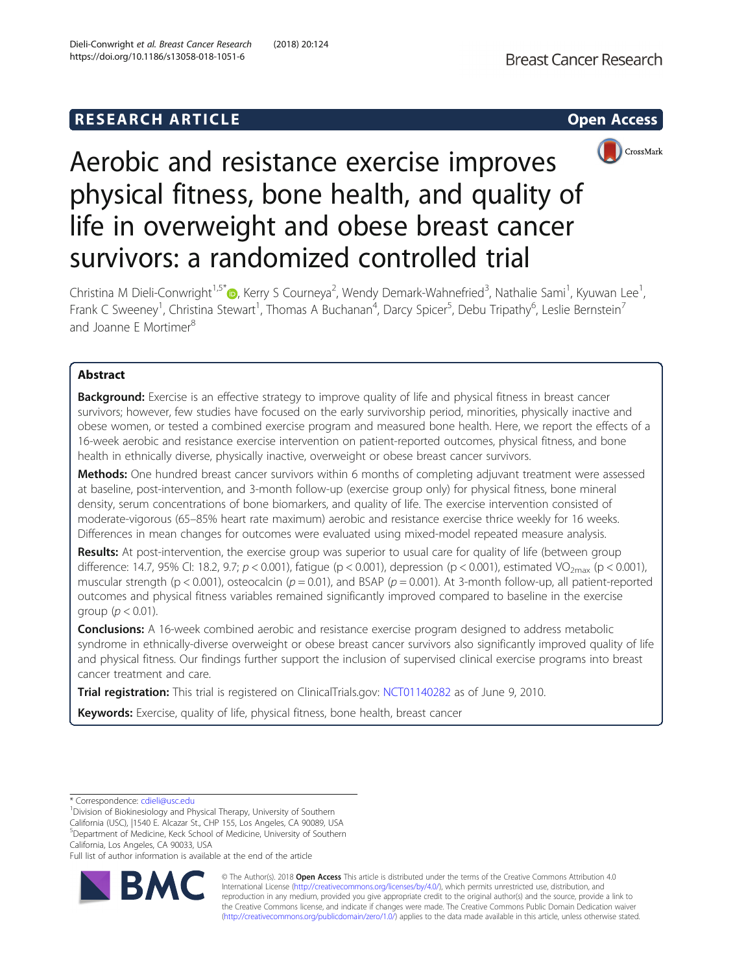# **RESEARCH ARTICLE Example 2014 CONSIDERING CONSIDERING CONSIDERING CONSIDERING CONSIDERING CONSIDERING CONSIDERING CONSIDERING CONSIDERING CONSIDERING CONSIDERING CONSIDERING CONSIDERING CONSIDERING CONSIDERING CONSIDE**





# Aerobic and resistance exercise improves physical fitness, bone health, and quality of life in overweight and obese breast cancer survivors: a randomized controlled trial

Christina M Dieli-Conwright<sup>1,5[\\*](http://orcid.org/0000-0001-9093-7259)</sup>®, Kerry S Courneya<sup>2</sup>, Wendy Demark-Wahnefried<sup>3</sup>, Nathalie Sami<sup>1</sup>, Kyuwan Lee<sup>1</sup> , Frank C Sweeney<sup>1</sup>, Christina Stewart<sup>1</sup>, Thomas A Buchanan<sup>4</sup>, Darcy Spicer<sup>5</sup>, Debu Tripathy<sup>6</sup>, Leslie Bernstein<sup>7</sup> and Joanne F Mortimer<sup>8</sup>

# Abstract

**Background:** Exercise is an effective strategy to improve quality of life and physical fitness in breast cancer survivors; however, few studies have focused on the early survivorship period, minorities, physically inactive and obese women, or tested a combined exercise program and measured bone health. Here, we report the effects of a 16-week aerobic and resistance exercise intervention on patient-reported outcomes, physical fitness, and bone health in ethnically diverse, physically inactive, overweight or obese breast cancer survivors.

Methods: One hundred breast cancer survivors within 6 months of completing adjuvant treatment were assessed at baseline, post-intervention, and 3-month follow-up (exercise group only) for physical fitness, bone mineral density, serum concentrations of bone biomarkers, and quality of life. The exercise intervention consisted of moderate-vigorous (65–85% heart rate maximum) aerobic and resistance exercise thrice weekly for 16 weeks. Differences in mean changes for outcomes were evaluated using mixed-model repeated measure analysis.

Results: At post-intervention, the exercise group was superior to usual care for quality of life (between group difference: 14.7, 95% CI: 18.2, 9.7;  $p < 0.001$ ), fatigue (p < 0.001), depression (p < 0.001), estimated VO<sub>2max</sub> (p < 0.001), muscular strength (p < 0.001), osteocalcin (p = 0.01), and BSAP (p = 0.001). At 3-month follow-up, all patient-reported outcomes and physical fitness variables remained significantly improved compared to baseline in the exercise group ( $p < 0.01$ ).

**Conclusions:** A 16-week combined aerobic and resistance exercise program designed to address metabolic syndrome in ethnically-diverse overweight or obese breast cancer survivors also significantly improved quality of life and physical fitness. Our findings further support the inclusion of supervised clinical exercise programs into breast cancer treatment and care.

Trial registration: This trial is registered on ClinicalTrials.gov: [NCT01140282](https://clinicaltrials.gov/ct2/show/NCT01140282) as of June 9, 2010.

Keywords: Exercise, quality of life, physical fitness, bone health, breast cancer

California, Los Angeles, CA 90033, USA

Full list of author information is available at the end of the article



© The Author(s). 2018 Open Access This article is distributed under the terms of the Creative Commons Attribution 4.0 International License [\(http://creativecommons.org/licenses/by/4.0/](http://creativecommons.org/licenses/by/4.0/)), which permits unrestricted use, distribution, and reproduction in any medium, provided you give appropriate credit to the original author(s) and the source, provide a link to the Creative Commons license, and indicate if changes were made. The Creative Commons Public Domain Dedication waiver [\(http://creativecommons.org/publicdomain/zero/1.0/](http://creativecommons.org/publicdomain/zero/1.0/)) applies to the data made available in this article, unless otherwise stated.

<sup>\*</sup> Correspondence: [cdieli@usc.edu](mailto:cdieli@usc.edu) <sup>1</sup>

 $1$ Division of Biokinesiology and Physical Therapy, University of Southern California (USC), |1540 E. Alcazar St., CHP 155, Los Angeles, CA 90089, USA 5 Department of Medicine, Keck School of Medicine, University of Southern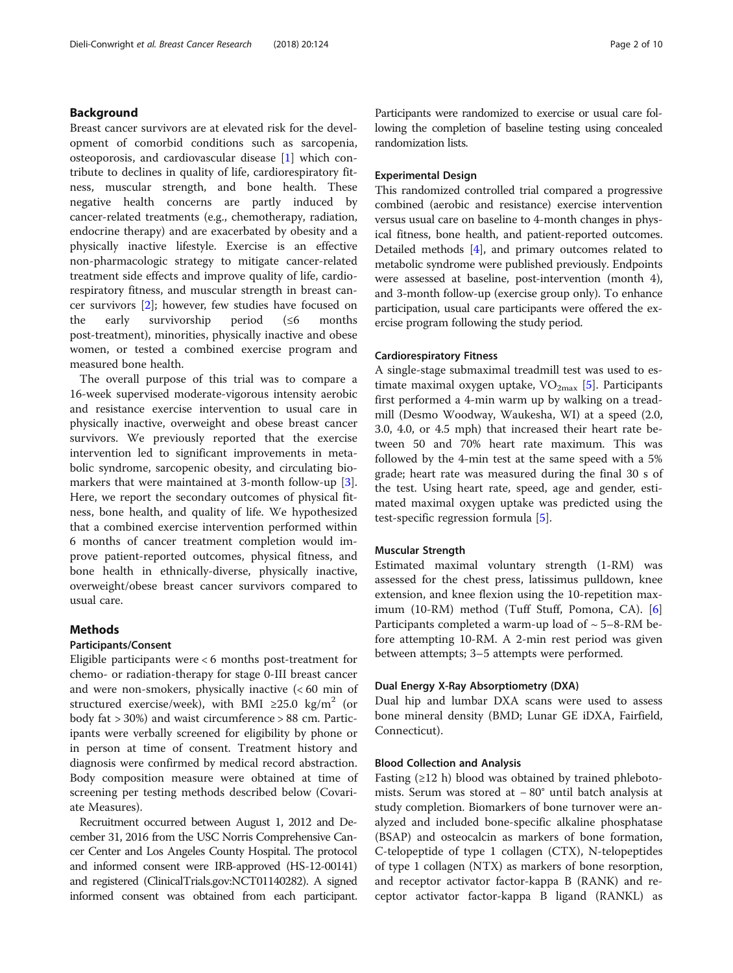# Background

Breast cancer survivors are at elevated risk for the development of comorbid conditions such as sarcopenia, osteoporosis, and cardiovascular disease [\[1](#page-9-0)] which contribute to declines in quality of life, cardiorespiratory fitness, muscular strength, and bone health. These negative health concerns are partly induced by cancer-related treatments (e.g., chemotherapy, radiation, endocrine therapy) and are exacerbated by obesity and a physically inactive lifestyle. Exercise is an effective non-pharmacologic strategy to mitigate cancer-related treatment side effects and improve quality of life, cardiorespiratory fitness, and muscular strength in breast cancer survivors [[2\]](#page-9-0); however, few studies have focused on the early survivorship period (≤6 months post-treatment), minorities, physically inactive and obese women, or tested a combined exercise program and measured bone health.

The overall purpose of this trial was to compare a 16-week supervised moderate-vigorous intensity aerobic and resistance exercise intervention to usual care in physically inactive, overweight and obese breast cancer survivors. We previously reported that the exercise intervention led to significant improvements in metabolic syndrome, sarcopenic obesity, and circulating biomarkers that were maintained at 3-month follow-up [\[3](#page-9-0)]. Here, we report the secondary outcomes of physical fitness, bone health, and quality of life. We hypothesized that a combined exercise intervention performed within 6 months of cancer treatment completion would improve patient-reported outcomes, physical fitness, and bone health in ethnically-diverse, physically inactive, overweight/obese breast cancer survivors compared to usual care.

# **Methods**

#### Participants/Consent

Eligible participants were < 6 months post-treatment for chemo- or radiation-therapy for stage 0-III breast cancer and were non-smokers, physically inactive (< 60 min of structured exercise/week), with BMI ≥25.0 kg/m<sup>2</sup> (or body fat > 30%) and waist circumference > 88 cm. Participants were verbally screened for eligibility by phone or in person at time of consent. Treatment history and diagnosis were confirmed by medical record abstraction. Body composition measure were obtained at time of screening per testing methods described below (Covariate Measures).

Recruitment occurred between August 1, 2012 and December 31, 2016 from the USC Norris Comprehensive Cancer Center and Los Angeles County Hospital. The protocol and informed consent were IRB-approved (HS-12-00141) and registered (ClinicalTrials.gov:NCT01140282). A signed informed consent was obtained from each participant.

Participants were randomized to exercise or usual care following the completion of baseline testing using concealed randomization lists.

#### Experimental Design

This randomized controlled trial compared a progressive combined (aerobic and resistance) exercise intervention versus usual care on baseline to 4-month changes in physical fitness, bone health, and patient-reported outcomes. Detailed methods [[4\]](#page-9-0), and primary outcomes related to metabolic syndrome were published previously. Endpoints were assessed at baseline, post-intervention (month 4), and 3-month follow-up (exercise group only). To enhance participation, usual care participants were offered the exercise program following the study period.

#### Cardiorespiratory Fitness

A single-stage submaximal treadmill test was used to estimate maximal oxygen uptake,  $VO_{2max}$  [\[5](#page-9-0)]. Participants first performed a 4-min warm up by walking on a treadmill (Desmo Woodway, Waukesha, WI) at a speed (2.0, 3.0, 4.0, or 4.5 mph) that increased their heart rate between 50 and 70% heart rate maximum. This was followed by the 4-min test at the same speed with a 5% grade; heart rate was measured during the final 30 s of the test. Using heart rate, speed, age and gender, estimated maximal oxygen uptake was predicted using the test-specific regression formula [[5](#page-9-0)].

# Muscular Strength

Estimated maximal voluntary strength (1-RM) was assessed for the chest press, latissimus pulldown, knee extension, and knee flexion using the 10-repetition maximum (10-RM) method (Tuff Stuff, Pomona, CA). [\[6](#page-9-0)] Participants completed a warm-up load of  $\sim$  5–8-RM before attempting 10-RM. A 2-min rest period was given between attempts; 3–5 attempts were performed.

### Dual Energy X-Ray Absorptiometry (DXA)

Dual hip and lumbar DXA scans were used to assess bone mineral density (BMD; Lunar GE iDXA, Fairfield, Connecticut).

#### Blood Collection and Analysis

Fasting  $(\geq 12 \text{ h})$  blood was obtained by trained phlebotomists. Serum was stored at − 80° until batch analysis at study completion. Biomarkers of bone turnover were analyzed and included bone-specific alkaline phosphatase (BSAP) and osteocalcin as markers of bone formation, C-telopeptide of type 1 collagen (CTX), N-telopeptides of type 1 collagen (NTX) as markers of bone resorption, and receptor activator factor-kappa B (RANK) and receptor activator factor-kappa B ligand (RANKL) as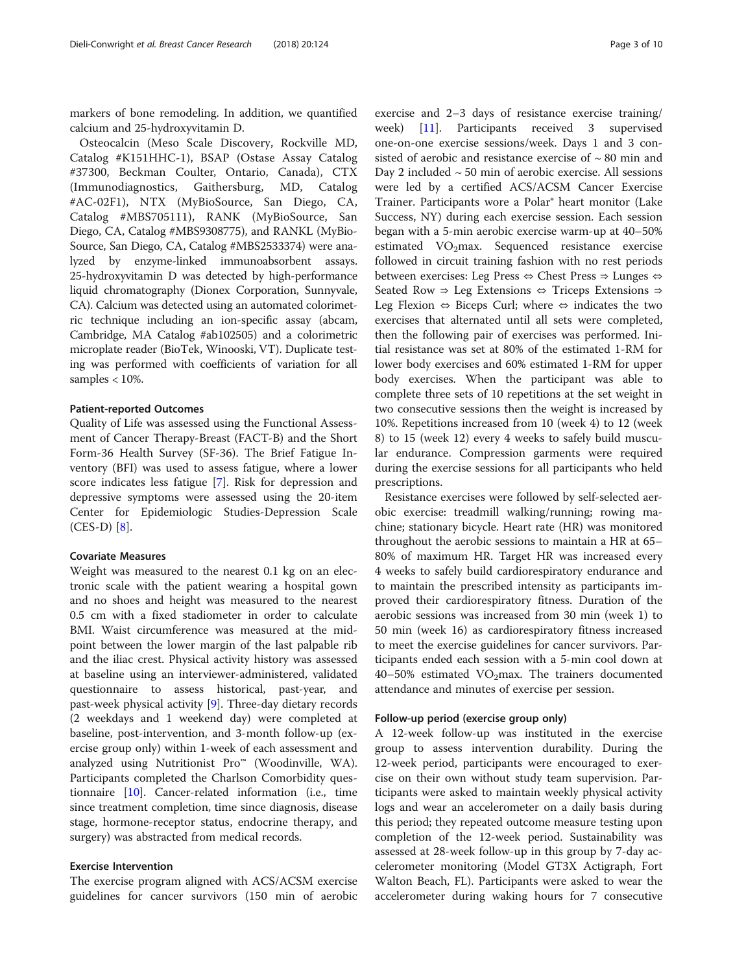markers of bone remodeling. In addition, we quantified calcium and 25-hydroxyvitamin D.

Osteocalcin (Meso Scale Discovery, Rockville MD, Catalog #K151HHC-1), BSAP (Ostase Assay Catalog #37300, Beckman Coulter, Ontario, Canada), CTX (Immunodiagnostics, Gaithersburg, MD, Catalog #AC-02F1), NTX (MyBioSource, San Diego, CA, Catalog #MBS705111), RANK (MyBioSource, San Diego, CA, Catalog #MBS9308775), and RANKL (MyBio-Source, San Diego, CA, Catalog #MBS2533374) were analyzed by enzyme-linked immunoabsorbent assays. 25-hydroxyvitamin D was detected by high-performance liquid chromatography (Dionex Corporation, Sunnyvale, CA). Calcium was detected using an automated colorimetric technique including an ion-specific assay (abcam, Cambridge, MA Catalog #ab102505) and a colorimetric microplate reader (BioTek, Winooski, VT). Duplicate testing was performed with coefficients of variation for all samples < 10%.

#### Patient-reported Outcomes

Quality of Life was assessed using the Functional Assessment of Cancer Therapy-Breast (FACT-B) and the Short Form-36 Health Survey (SF-36). The Brief Fatigue Inventory (BFI) was used to assess fatigue, where a lower score indicates less fatigue [[7\]](#page-9-0). Risk for depression and depressive symptoms were assessed using the 20-item Center for Epidemiologic Studies-Depression Scale (CES-D) [\[8](#page-9-0)].

# Covariate Measures

Weight was measured to the nearest 0.1 kg on an electronic scale with the patient wearing a hospital gown and no shoes and height was measured to the nearest 0.5 cm with a fixed stadiometer in order to calculate BMI. Waist circumference was measured at the midpoint between the lower margin of the last palpable rib and the iliac crest. Physical activity history was assessed at baseline using an interviewer-administered, validated questionnaire to assess historical, past-year, and past-week physical activity [\[9](#page-9-0)]. Three-day dietary records (2 weekdays and 1 weekend day) were completed at baseline, post-intervention, and 3-month follow-up (exercise group only) within 1-week of each assessment and analyzed using Nutritionist Pro™ (Woodinville, WA). Participants completed the Charlson Comorbidity questionnaire [[10](#page-9-0)]. Cancer-related information (i.e., time since treatment completion, time since diagnosis, disease stage, hormone-receptor status, endocrine therapy, and surgery) was abstracted from medical records.

# Exercise Intervention

The exercise program aligned with ACS/ACSM exercise guidelines for cancer survivors (150 min of aerobic

exercise and 2–3 days of resistance exercise training/ week) [[11\]](#page-9-0). Participants received 3 supervised one-on-one exercise sessions/week. Days 1 and 3 consisted of aerobic and resistance exercise of  $\sim 80$  min and Day 2 included  $\sim$  50 min of aerobic exercise. All sessions were led by a certified ACS/ACSM Cancer Exercise Trainer. Participants wore a Polar® heart monitor (Lake Success, NY) during each exercise session. Each session began with a 5-min aerobic exercise warm-up at 40–50% estimated  $VO<sub>2</sub>max$ . Sequenced resistance exercise followed in circuit training fashion with no rest periods between exercises: Leg Press ⇔ Chest Press ⇒ Lunges ⇔ Seated Row ⇒ Leg Extensions ⇔ Triceps Extensions ⇒ Leg Flexion  $\Leftrightarrow$  Biceps Curl; where  $\Leftrightarrow$  indicates the two exercises that alternated until all sets were completed, then the following pair of exercises was performed. Initial resistance was set at 80% of the estimated 1-RM for lower body exercises and 60% estimated 1-RM for upper body exercises. When the participant was able to complete three sets of 10 repetitions at the set weight in two consecutive sessions then the weight is increased by 10%. Repetitions increased from 10 (week 4) to 12 (week 8) to 15 (week 12) every 4 weeks to safely build muscular endurance. Compression garments were required during the exercise sessions for all participants who held prescriptions.

Resistance exercises were followed by self-selected aerobic exercise: treadmill walking/running; rowing machine; stationary bicycle. Heart rate (HR) was monitored throughout the aerobic sessions to maintain a HR at 65– 80% of maximum HR. Target HR was increased every 4 weeks to safely build cardiorespiratory endurance and to maintain the prescribed intensity as participants improved their cardiorespiratory fitness. Duration of the aerobic sessions was increased from 30 min (week 1) to 50 min (week 16) as cardiorespiratory fitness increased to meet the exercise guidelines for cancer survivors. Participants ended each session with a 5-min cool down at 40–50% estimated  $VO<sub>2</sub>$ max. The trainers documented attendance and minutes of exercise per session.

### Follow-up period (exercise group only)

A 12-week follow-up was instituted in the exercise group to assess intervention durability. During the 12-week period, participants were encouraged to exercise on their own without study team supervision. Participants were asked to maintain weekly physical activity logs and wear an accelerometer on a daily basis during this period; they repeated outcome measure testing upon completion of the 12-week period. Sustainability was assessed at 28-week follow-up in this group by 7-day accelerometer monitoring (Model GT3X Actigraph, Fort Walton Beach, FL). Participants were asked to wear the accelerometer during waking hours for 7 consecutive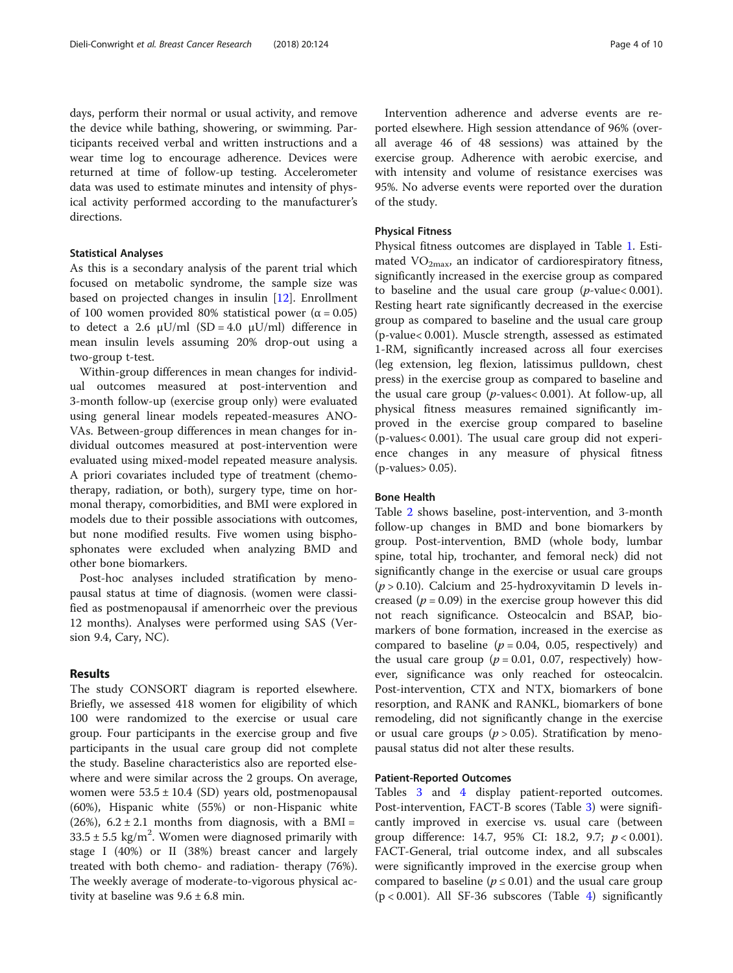days, perform their normal or usual activity, and remove the device while bathing, showering, or swimming. Participants received verbal and written instructions and a wear time log to encourage adherence. Devices were returned at time of follow-up testing. Accelerometer data was used to estimate minutes and intensity of physical activity performed according to the manufacturer's directions.

# Statistical Analyses

As this is a secondary analysis of the parent trial which focused on metabolic syndrome, the sample size was based on projected changes in insulin [\[12\]](#page-9-0). Enrollment of 100 women provided 80% statistical power ( $\alpha$  = 0.05) to detect a 2.6 μU/ml (SD = 4.0 μU/ml) difference in mean insulin levels assuming 20% drop-out using a two-group t-test.

Within-group differences in mean changes for individual outcomes measured at post-intervention and 3-month follow-up (exercise group only) were evaluated using general linear models repeated-measures ANO-VAs. Between-group differences in mean changes for individual outcomes measured at post-intervention were evaluated using mixed-model repeated measure analysis. A priori covariates included type of treatment (chemotherapy, radiation, or both), surgery type, time on hormonal therapy, comorbidities, and BMI were explored in models due to their possible associations with outcomes, but none modified results. Five women using bisphosphonates were excluded when analyzing BMD and other bone biomarkers.

Post-hoc analyses included stratification by menopausal status at time of diagnosis. (women were classified as postmenopausal if amenorrheic over the previous 12 months). Analyses were performed using SAS (Version 9.4, Cary, NC).

## Results

The study CONSORT diagram is reported elsewhere. Briefly, we assessed 418 women for eligibility of which 100 were randomized to the exercise or usual care group. Four participants in the exercise group and five participants in the usual care group did not complete the study. Baseline characteristics also are reported elsewhere and were similar across the 2 groups. On average, women were  $53.5 \pm 10.4$  (SD) years old, postmenopausal (60%), Hispanic white (55%) or non-Hispanic white  $(26%)$ ,  $6.2 \pm 2.1$  months from diagnosis, with a BMI =  $33.5 \pm 5.5$  kg/m<sup>2</sup>. Women were diagnosed primarily with stage I (40%) or II (38%) breast cancer and largely treated with both chemo- and radiation- therapy (76%). The weekly average of moderate-to-vigorous physical activity at baseline was  $9.6 \pm 6.8$  min.

Intervention adherence and adverse events are reported elsewhere. High session attendance of 96% (overall average 46 of 48 sessions) was attained by the exercise group. Adherence with aerobic exercise, and with intensity and volume of resistance exercises was 95%. No adverse events were reported over the duration of the study.

#### Physical Fitness

Physical fitness outcomes are displayed in Table [1](#page-4-0). Estimated  $VO<sub>2max</sub>$ , an indicator of cardiorespiratory fitness, significantly increased in the exercise group as compared to baseline and the usual care group  $(p$ -value $< 0.001$ ). Resting heart rate significantly decreased in the exercise group as compared to baseline and the usual care group (p-value< 0.001). Muscle strength, assessed as estimated 1-RM, significantly increased across all four exercises (leg extension, leg flexion, latissimus pulldown, chest press) in the exercise group as compared to baseline and the usual care group ( $p$ -values < 0.001). At follow-up, all physical fitness measures remained significantly improved in the exercise group compared to baseline (p-values< 0.001). The usual care group did not experience changes in any measure of physical fitness (p-values> 0.05).

# Bone Health

Table [2](#page-5-0) shows baseline, post-intervention, and 3-month follow-up changes in BMD and bone biomarkers by group. Post-intervention, BMD (whole body, lumbar spine, total hip, trochanter, and femoral neck) did not significantly change in the exercise or usual care groups  $(p > 0.10)$ . Calcium and 25-hydroxyvitamin D levels increased ( $p = 0.09$ ) in the exercise group however this did not reach significance. Osteocalcin and BSAP, biomarkers of bone formation, increased in the exercise as compared to baseline ( $p = 0.04$ , 0.05, respectively) and the usual care group ( $p = 0.01$ , 0.07, respectively) however, significance was only reached for osteocalcin. Post-intervention, CTX and NTX, biomarkers of bone resorption, and RANK and RANKL, biomarkers of bone remodeling, did not significantly change in the exercise or usual care groups ( $p > 0.05$ ). Stratification by menopausal status did not alter these results.

#### Patient-Reported Outcomes

Tables [3](#page-6-0) and [4](#page-7-0) display patient-reported outcomes. Post-intervention, FACT-B scores (Table [3](#page-6-0)) were significantly improved in exercise vs. usual care (between group difference: 14.7, 95% CI: 18.2, 9.7;  $p < 0.001$ ). FACT-General, trial outcome index, and all subscales were significantly improved in the exercise group when compared to baseline ( $p \le 0.01$ ) and the usual care group  $(p < 0.001)$ . All SF-36 subscores (Table [4](#page-7-0)) significantly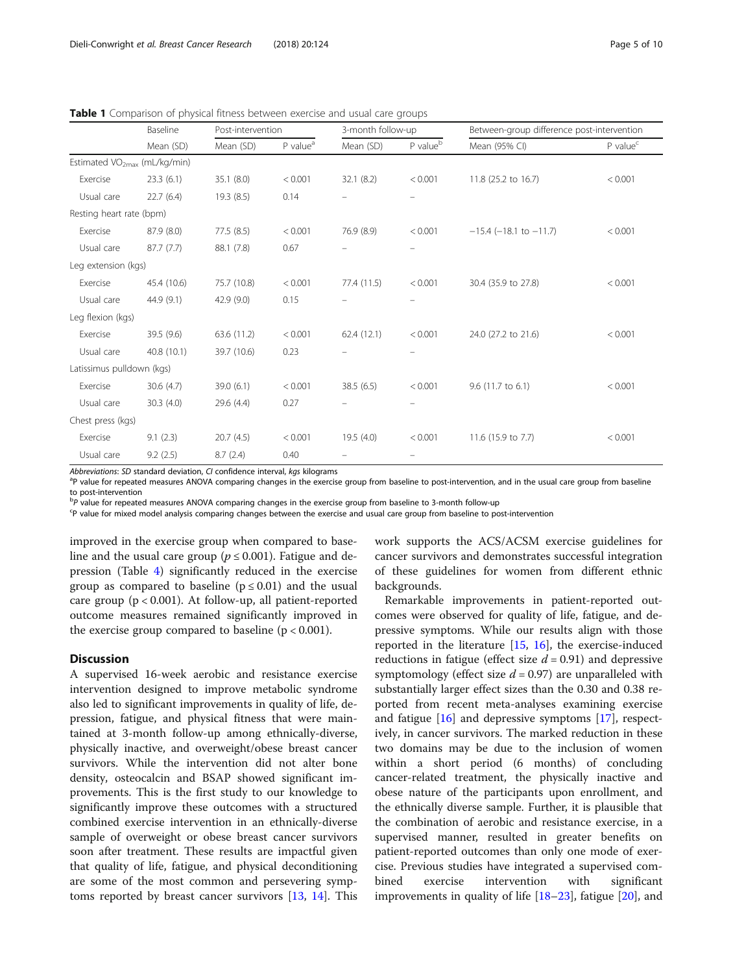|                                          | Baseline    | Post-intervention |                      | 3-month follow-up |                          | Between-group difference post-intervention |               |  |
|------------------------------------------|-------------|-------------------|----------------------|-------------------|--------------------------|--------------------------------------------|---------------|--|
|                                          | Mean (SD)   | Mean (SD)         | P value <sup>a</sup> | Mean (SD)         | P value <sup>b</sup>     | Mean (95% CI)                              | $P$ value $C$ |  |
| Estimated VO <sub>2max</sub> (mL/kg/min) |             |                   |                      |                   |                          |                                            |               |  |
| Exercise                                 | 23.3(6.1)   | 35.1 (8.0)        | < 0.001              | 32.1(8.2)         | < 0.001                  | 11.8 (25.2 to 16.7)                        | < 0.001       |  |
| Usual care                               | 22.7(6.4)   | 19.3 (8.5)        | 0.14                 |                   | -                        |                                            |               |  |
| Resting heart rate (bpm)                 |             |                   |                      |                   |                          |                                            |               |  |
| Exercise                                 | 87.9 (8.0)  | 77.5(8.5)         | < 0.001              | 76.9 (8.9)        | < 0.001                  | $-15.4$ (-18.1 to $-11.7$ )                | < 0.001       |  |
| Usual care                               | 87.7(7.7)   | 88.1 (7.8)        | 0.67                 |                   | -                        |                                            |               |  |
| Leg extension (kgs)                      |             |                   |                      |                   |                          |                                            |               |  |
| Exercise                                 | 45.4 (10.6) | 75.7 (10.8)       | < 0.001              | 77.4 (11.5)       | < 0.001                  | 30.4 (35.9 to 27.8)                        | < 0.001       |  |
| Usual care                               | 44.9 (9.1)  | 42.9(9.0)         | 0.15                 |                   | -                        |                                            |               |  |
| Leg flexion (kgs)                        |             |                   |                      |                   |                          |                                            |               |  |
| Exercise                                 | 39.5 (9.6)  | 63.6 (11.2)       | < 0.001              | 62.4(12.1)        | < 0.001                  | 24.0 (27.2 to 21.6)                        | < 0.001       |  |
| Usual care                               | 40.8 (10.1) | 39.7 (10.6)       | 0.23                 |                   | $\equiv$                 |                                            |               |  |
| Latissimus pulldown (kgs)                |             |                   |                      |                   |                          |                                            |               |  |
| Exercise                                 | 30.6(4.7)   | 39.0(6.1)         | < 0.001              | 38.5(6.5)         | < 0.001                  | 9.6 (11.7 to 6.1)                          | < 0.001       |  |
| Usual care                               | 30.3(4.0)   | 29.6 (4.4)        | 0.27                 |                   |                          |                                            |               |  |
| Chest press (kgs)                        |             |                   |                      |                   |                          |                                            |               |  |
| Exercise                                 | 9.1(2.3)    | 20.7(4.5)         | < 0.001              | 19.5 (4.0)        | < 0.001                  | 11.6 (15.9 to 7.7)                         | < 0.001       |  |
| Usual care                               | 9.2(2.5)    | 8.7(2.4)          | 0.40                 |                   | $\overline{\phantom{0}}$ |                                            |               |  |

<span id="page-4-0"></span>Table 1 Comparison of physical fitness between exercise and usual care groups

A*bbreviations: SD* standard deviation, CI confidence interval, *kgs* kilograms<br><sup>a</sup>P value for repeated measures ANOVA comparing changes in the exercise group from baseline to post-intervention, and in the usual care group to post-intervention

bp value for repeated measures ANOVA comparing changes in the exercise group from baseline to 3-month follow-up<br><sup>Cp</sup> value for mixed model analysis comparing changes between the exercise and usual care group from baseline

P value for mixed model analysis comparing changes between the exercise and usual care group from baseline to post-intervention

improved in the exercise group when compared to baseline and the usual care group ( $p \le 0.001$ ). Fatigue and depression (Table [4\)](#page-7-0) significantly reduced in the exercise group as compared to baseline ( $p \le 0.01$ ) and the usual care group  $(p < 0.001)$ . At follow-up, all patient-reported outcome measures remained significantly improved in the exercise group compared to baseline  $(p < 0.001)$ .

# **Discussion**

A supervised 16-week aerobic and resistance exercise intervention designed to improve metabolic syndrome also led to significant improvements in quality of life, depression, fatigue, and physical fitness that were maintained at 3-month follow-up among ethnically-diverse, physically inactive, and overweight/obese breast cancer survivors. While the intervention did not alter bone density, osteocalcin and BSAP showed significant improvements. This is the first study to our knowledge to significantly improve these outcomes with a structured combined exercise intervention in an ethnically-diverse sample of overweight or obese breast cancer survivors soon after treatment. These results are impactful given that quality of life, fatigue, and physical deconditioning are some of the most common and persevering symptoms reported by breast cancer survivors [\[13](#page-9-0), [14](#page-9-0)]. This work supports the ACS/ACSM exercise guidelines for cancer survivors and demonstrates successful integration of these guidelines for women from different ethnic backgrounds.

Remarkable improvements in patient-reported outcomes were observed for quality of life, fatigue, and depressive symptoms. While our results align with those reported in the literature  $[15, 16]$  $[15, 16]$  $[15, 16]$  $[15, 16]$ , the exercise-induced reductions in fatigue (effect size  $d = 0.91$ ) and depressive symptomology (effect size  $d = 0.97$ ) are unparalleled with substantially larger effect sizes than the 0.30 and 0.38 reported from recent meta-analyses examining exercise and fatigue  $[16]$  $[16]$  $[16]$  and depressive symptoms  $[17]$  $[17]$ , respectively, in cancer survivors. The marked reduction in these two domains may be due to the inclusion of women within a short period (6 months) of concluding cancer-related treatment, the physically inactive and obese nature of the participants upon enrollment, and the ethnically diverse sample. Further, it is plausible that the combination of aerobic and resistance exercise, in a supervised manner, resulted in greater benefits on patient-reported outcomes than only one mode of exercise. Previous studies have integrated a supervised combined exercise intervention with significant improvements in quality of life [[18](#page-9-0)–[23](#page-9-0)], fatigue [\[20](#page-9-0)], and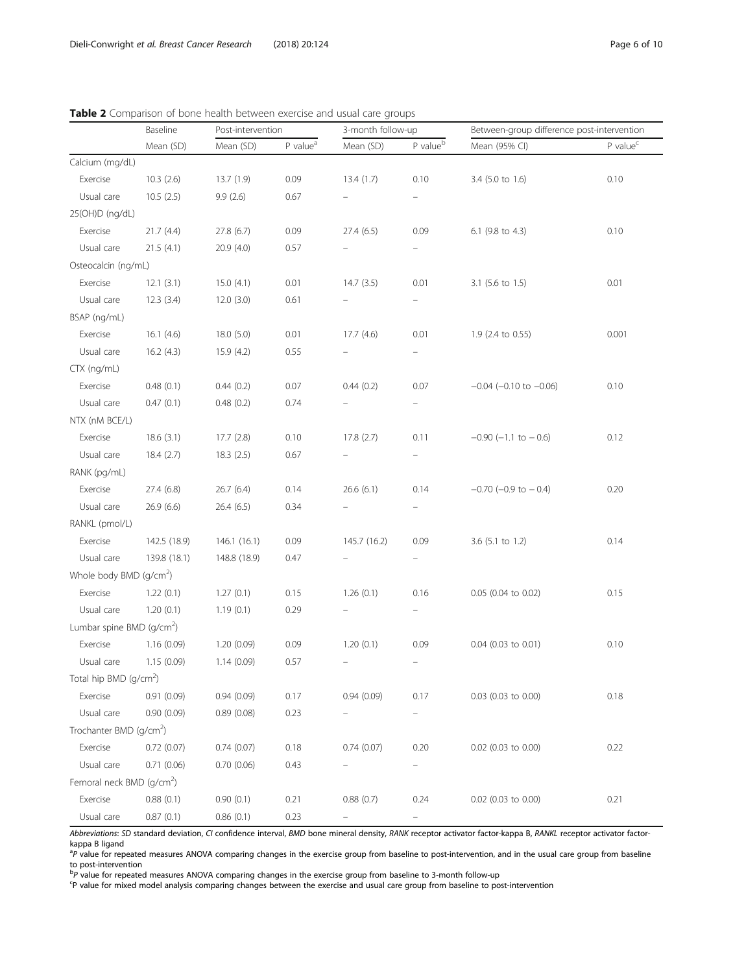RANKL (pmol/L)

Whole body  $BMD$  (g/cm<sup>2</sup>)

Lumbar spine BMD (g/cm<sup>2</sup>)

Total hip  $BMD$  (g/cm<sup>2</sup>)

Trochanter BMD (g/cm<sup>2</sup>)

Femoral neck BMD (g/cm<sup>2</sup>)

Usual care 139.8 (18.1) 148.8 (18.9) 0.47

Usual care  $1.20(0.1)$   $1.19(0.1)$   $0.29$ 

Usual care 1.15 (0.09) 1.14 (0.09) 0.57

Usual care  $0.90(0.09)$   $0.89(0.08)$  0.23

Usual care 0.71 (0.06) 0.70 (0.06) 0.43

Usual care  $0.87(0.1)$   $0.86(0.1)$   $0.23$ 

|                     | Mean (SD) | Mean (SD) | P value <sup>a</sup> | Mean (SD) | P value <sup>b</sup>     | Mean (95% CI)                  | P value <sup>c</sup> |
|---------------------|-----------|-----------|----------------------|-----------|--------------------------|--------------------------------|----------------------|
| Calcium (mg/dL)     |           |           |                      |           |                          |                                |                      |
| Exercise            | 10.3(2.6) | 13.7(1.9) | 0.09                 | 13.4(1.7) | 0.10                     | 3.4 (5.0 to 1.6)               | 0.10                 |
| Usual care          | 10.5(2.5) | 9.9(2.6)  | 0.67                 |           | -                        |                                |                      |
| 25(OH)D (ng/dL)     |           |           |                      |           |                          |                                |                      |
| Exercise            | 21.7(4.4) | 27.8(6.7) | 0.09                 | 27.4(6.5) | 0.09                     | 6.1 (9.8 to 4.3)               | 0.10                 |
| Usual care          | 21.5(4.1) | 20.9(4.0) | 0.57                 |           | $\overline{\phantom{0}}$ |                                |                      |
| Osteocalcin (ng/mL) |           |           |                      |           |                          |                                |                      |
| Exercise            | 12.1(3.1) | 15.0(4.1) | 0.01                 | 14.7(3.5) | 0.01                     | 3.1 (5.6 to 1.5)               | 0.01                 |
| Usual care          | 12.3(3.4) | 12.0(3.0) | 0.61                 |           |                          |                                |                      |
| BSAP (ng/mL)        |           |           |                      |           |                          |                                |                      |
| Exercise            | 16.1(4.6) | 18.0(5.0) | 0.01                 | 17.7(4.6) | 0.01                     | 1.9 (2.4 to 0.55)              | 0.001                |
| Usual care          | 16.2(4.3) | 15.9(4.2) | 0.55                 |           |                          |                                |                      |
| CTX (ng/mL)         |           |           |                      |           |                          |                                |                      |
| Exercise            | 0.48(0.1) | 0.44(0.2) | 0.07                 | 0.44(0.2) | 0.07                     | $-0.04$ ( $-0.10$ to $-0.06$ ) | 0.10                 |
| Usual care          | 0.47(0.1) | 0.48(0.2) | 0.74                 |           |                          |                                |                      |
| NTX (nM BCE/L)      |           |           |                      |           |                          |                                |                      |
| Exercise            | 18.6(3.1) | 17.7(2.8) | 0.10                 | 17.8(2.7) | 0.11                     | $-0.90$ ( $-1.1$ to $-0.6$ )   | 0.12                 |
| Usual care          | 18.4(2.7) | 18.3(2.5) | 0.67                 |           |                          |                                |                      |
| RANK (pg/mL)        |           |           |                      |           |                          |                                |                      |
| Exercise            | 27.4(6.8) | 26.7(6.4) | 0.14                 | 26.6(6.1) | 0.14                     | $-0.70$ ( $-0.9$ to $-0.4$ )   | 0.20                 |
| Usual care          | 26.9(6.6) | 26.4(6.5) | 0.34                 |           |                          |                                |                      |

Baseline Post-intervention 3-month follow-up Between-group difference post-intervention

<span id="page-5-0"></span>Table 2 Comparison of bone health between exercise and usual care groups

Abbreviations: SD standard deviation, CI confidence interval, BMD bone mineral density, RANK receptor activator factor-kappa B, RANKL receptor activator factorkappa B ligand

Exercise 142.5 (18.9) 146.1 (16.1) 0.09 145.7 (16.2) 0.09 3.6 (5.1 to 1.2) 0.14

Exercise 1.22 (0.1) 1.27 (0.1) 0.15 1.26 (0.1) 0.16 0.05 (0.04 to 0.02) 0.15

Exercise 1.16 (0.09) 1.20 (0.09) 0.09 1.20 (0.1) 0.09 0.04 (0.03 to 0.01) 0.10

Exercise 0.91 (0.09) 0.94 (0.09) 0.17 0.94 (0.09) 0.17 0.03 (0.03 to 0.00) 0.18

Exercise 0.72 (0.07) 0.74 (0.07) 0.18 0.74 (0.07) 0.20 0.02 (0.03 to 0.00) 0.22

Exercise 0.88 (0.1) 0.90 (0.1) 0.21 0.88 (0.7) 0.24 0.02 (0.03 to 0.00) 0.21 0.21

<sup>a</sup>P value for repeated measures ANOVA comparing changes in the exercise group from baseline to post-intervention, and in the usual care group from baseline<br>to post-intervention to post-intervention

bp value for repeated measures ANOVA comparing changes in the exercise group from baseline to 3-month follow-up<br>Sp value for mixed model analysis comparing changes between the exercise and usual care group from baseline to

P value for mixed model analysis comparing changes between the exercise and usual care group from baseline to post-intervention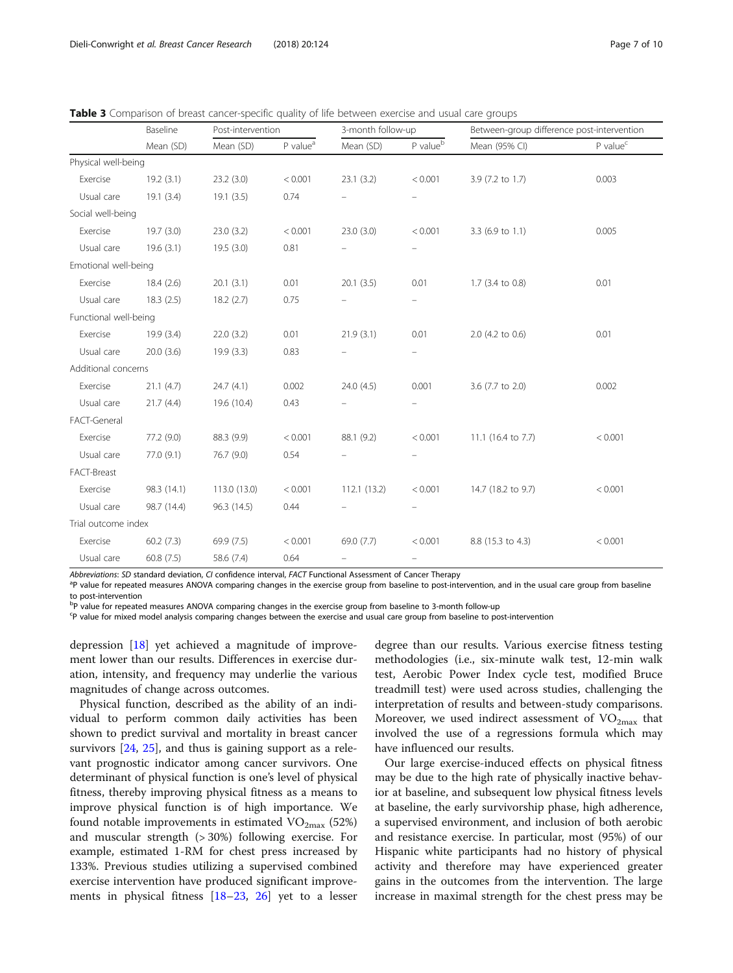|                       | Baseline    | Post-intervention |                      | 3-month follow-up        |                          | Between-group difference post-intervention |                      |  |
|-----------------------|-------------|-------------------|----------------------|--------------------------|--------------------------|--------------------------------------------|----------------------|--|
|                       | Mean (SD)   | Mean (SD)         | P value <sup>a</sup> | Mean (SD)                | P value <sup>b</sup>     | Mean (95% CI)                              | P value <sup>c</sup> |  |
| Physical well-being   |             |                   |                      |                          |                          |                                            |                      |  |
| Exercise              | 19.2(3.1)   | 23.2(3.0)         | < 0.001              | 23.1(3.2)                | < 0.001                  | 3.9 (7.2 to 1.7)                           | 0.003                |  |
| Usual care            | 19.1(3.4)   | 19.1(3.5)         | 0.74                 |                          |                          |                                            |                      |  |
| Social well-being     |             |                   |                      |                          |                          |                                            |                      |  |
| Exercise              | 19.7(3.0)   | 23.0(3.2)         | < 0.001              | 23.0(3.0)                | < 0.001                  | 3.3 (6.9 to 1.1)                           | 0.005                |  |
| Usual care            | 19.6(3.1)   | 19.5(3.0)         | 0.81                 |                          |                          |                                            |                      |  |
| Emotional well-being  |             |                   |                      |                          |                          |                                            |                      |  |
| Exercise              | 18.4(2.6)   | 20.1(3.1)         | 0.01                 | 20.1(3.5)                | 0.01                     | 1.7 (3.4 to 0.8)                           | 0.01                 |  |
| Usual care            | 18.3(2.5)   | 18.2(2.7)         | 0.75                 |                          |                          |                                            |                      |  |
| Functional well-being |             |                   |                      |                          |                          |                                            |                      |  |
| Exercise              | 19.9 (3.4)  | 22.0(3.2)         | 0.01                 | 21.9(3.1)                | 0.01                     | 2.0 (4.2 to 0.6)                           | 0.01                 |  |
| Usual care            | 20.0(3.6)   | 19.9(3.3)         | 0.83                 | $\overline{\phantom{m}}$ | $\overline{\phantom{0}}$ |                                            |                      |  |
| Additional concerns   |             |                   |                      |                          |                          |                                            |                      |  |
| Exercise              | 21.1(4.7)   | 24.7(4.1)         | 0.002                | 24.0(4.5)                | 0.001                    | 3.6 (7.7 to 2.0)                           | 0.002                |  |
| Usual care            | 21.7(4.4)   | 19.6 (10.4)       | 0.43                 |                          |                          |                                            |                      |  |
| FACT-General          |             |                   |                      |                          |                          |                                            |                      |  |
| Exercise              | 77.2 (9.0)  | 88.3 (9.9)        | < 0.001              | 88.1 (9.2)               | < 0.001                  | 11.1 (16.4 to 7.7)                         | < 0.001              |  |
| Usual care            | 77.0 (9.1)  | 76.7 (9.0)        | 0.54                 |                          |                          |                                            |                      |  |
| FACT-Breast           |             |                   |                      |                          |                          |                                            |                      |  |
| Exercise              | 98.3 (14.1) | 113.0 (13.0)      | < 0.001              | 112.1 (13.2)             | < 0.001                  | 14.7 (18.2 to 9.7)                         | < 0.001              |  |
| Usual care            | 98.7 (14.4) | 96.3 (14.5)       | 0.44                 |                          | $\overline{\phantom{0}}$ |                                            |                      |  |
| Trial outcome index   |             |                   |                      |                          |                          |                                            |                      |  |
| Exercise              | 60.2(7.3)   | 69.9 (7.5)        | < 0.001              | 69.0 (7.7)               | < 0.001                  | 8.8 (15.3 to 4.3)                          | < 0.001              |  |
| Usual care            | 60.8(7.5)   | 58.6 (7.4)        | 0.64                 |                          | $\overline{\phantom{0}}$ |                                            |                      |  |

<span id="page-6-0"></span>Table 3 Comparison of breast cancer-specific quality of life between exercise and usual care groups

Abbreviations: SD standard deviation, CI confidence interval, FACT Functional Assessment of Cancer Therapy

<sup>a</sup>P value for repeated measures ANOVA comparing changes in the exercise group from baseline to post-intervention, and in the usual care group from baseline to post-intervention

<sup>b</sup>P value for repeated measures ANOVA comparing changes in the exercise group from baseline to 3-month follow-up

c P value for mixed model analysis comparing changes between the exercise and usual care group from baseline to post-intervention

depression [\[18](#page-9-0)] yet achieved a magnitude of improvement lower than our results. Differences in exercise duration, intensity, and frequency may underlie the various magnitudes of change across outcomes.

Physical function, described as the ability of an individual to perform common daily activities has been shown to predict survival and mortality in breast cancer survivors [[24](#page-9-0), [25\]](#page-9-0), and thus is gaining support as a relevant prognostic indicator among cancer survivors. One determinant of physical function is one's level of physical fitness, thereby improving physical fitness as a means to improve physical function is of high importance. We found notable improvements in estimated  $VO_{2max}$  (52%) and muscular strength (> 30%) following exercise. For example, estimated 1-RM for chest press increased by 133%. Previous studies utilizing a supervised combined exercise intervention have produced significant improvements in physical fitness [\[18](#page-9-0)–[23,](#page-9-0) [26](#page-9-0)] yet to a lesser

degree than our results. Various exercise fitness testing methodologies (i.e., six-minute walk test, 12-min walk test, Aerobic Power Index cycle test, modified Bruce treadmill test) were used across studies, challenging the interpretation of results and between-study comparisons. Moreover, we used indirect assessment of  $VO_{2max}$  that involved the use of a regressions formula which may have influenced our results.

Our large exercise-induced effects on physical fitness may be due to the high rate of physically inactive behavior at baseline, and subsequent low physical fitness levels at baseline, the early survivorship phase, high adherence, a supervised environment, and inclusion of both aerobic and resistance exercise. In particular, most (95%) of our Hispanic white participants had no history of physical activity and therefore may have experienced greater gains in the outcomes from the intervention. The large increase in maximal strength for the chest press may be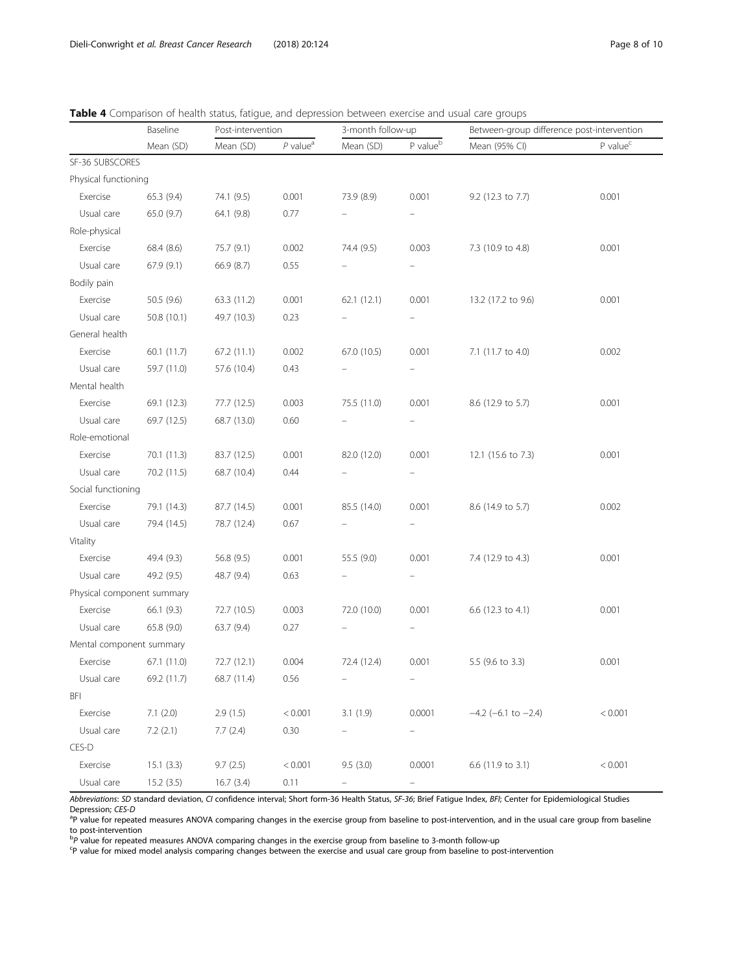|                            | Baseline    | Post-intervention |                        | 3-month follow-up |                      | Between-group difference post-intervention |                        |  |
|----------------------------|-------------|-------------------|------------------------|-------------------|----------------------|--------------------------------------------|------------------------|--|
|                            | Mean (SD)   | Mean (SD)         | $P$ value <sup>a</sup> | Mean (SD)         | P value <sup>b</sup> | Mean (95% CI)                              | $P$ value <sup>c</sup> |  |
| SF-36 SUBSCORES            |             |                   |                        |                   |                      |                                            |                        |  |
| Physical functioning       |             |                   |                        |                   |                      |                                            |                        |  |
| Exercise                   | 65.3 (9.4)  | 74.1 (9.5)        | 0.001                  | 73.9 (8.9)        | 0.001                | 9.2 (12.3 to 7.7)                          | 0.001                  |  |
| Usual care                 | 65.0 (9.7)  | 64.1 (9.8)        | 0.77                   |                   |                      |                                            |                        |  |
| Role-physical              |             |                   |                        |                   |                      |                                            |                        |  |
| Exercise                   | 68.4 (8.6)  | 75.7 (9.1)        | 0.002                  | 74.4 (9.5)        | 0.003                | 7.3 (10.9 to 4.8)                          | 0.001                  |  |
| Usual care                 | 67.9 (9.1)  | 66.9 (8.7)        | 0.55                   |                   |                      |                                            |                        |  |
| Bodily pain                |             |                   |                        |                   |                      |                                            |                        |  |
| Exercise                   | 50.5 (9.6)  | 63.3 (11.2)       | 0.001                  | 62.1(12.1)        | 0.001                | 13.2 (17.2 to 9.6)                         | 0.001                  |  |
| Usual care                 | 50.8 (10.1) | 49.7 (10.3)       | 0.23                   |                   |                      |                                            |                        |  |
| General health             |             |                   |                        |                   |                      |                                            |                        |  |
| Exercise                   | 60.1 (11.7) | 67.2 (11.1)       | 0.002                  | 67.0 (10.5)       | 0.001                | 7.1 (11.7 to 4.0)                          | 0.002                  |  |
| Usual care                 | 59.7 (11.0) | 57.6 (10.4)       | 0.43                   |                   |                      |                                            |                        |  |
| Mental health              |             |                   |                        |                   |                      |                                            |                        |  |
| Exercise                   | 69.1 (12.3) | 77.7 (12.5)       | 0.003                  | 75.5 (11.0)       | 0.001                | 8.6 (12.9 to 5.7)                          | 0.001                  |  |
| Usual care                 | 69.7 (12.5) | 68.7 (13.0)       | 0.60                   |                   |                      |                                            |                        |  |
| Role-emotional             |             |                   |                        |                   |                      |                                            |                        |  |
| Exercise                   | 70.1 (11.3) | 83.7 (12.5)       | 0.001                  | 82.0 (12.0)       | 0.001                | 12.1 (15.6 to 7.3)                         | 0.001                  |  |
| Usual care                 | 70.2 (11.5) | 68.7 (10.4)       | 0.44                   |                   |                      |                                            |                        |  |
| Social functioning         |             |                   |                        |                   |                      |                                            |                        |  |
| Exercise                   | 79.1 (14.3) | 87.7 (14.5)       | 0.001                  | 85.5 (14.0)       | 0.001                | 8.6 (14.9 to 5.7)                          | 0.002                  |  |
| Usual care                 | 79.4 (14.5) | 78.7 (12.4)       | 0.67                   |                   |                      |                                            |                        |  |
| Vitality                   |             |                   |                        |                   |                      |                                            |                        |  |
| Exercise                   | 49.4 (9.3)  | 56.8 (9.5)        | 0.001                  | 55.5 (9.0)        | 0.001                | 7.4 (12.9 to 4.3)                          | 0.001                  |  |
| Usual care                 | 49.2 (9.5)  | 48.7 (9.4)        | 0.63                   |                   |                      |                                            |                        |  |
| Physical component summary |             |                   |                        |                   |                      |                                            |                        |  |
| Exercise                   | 66.1 (9.3)  | 72.7 (10.5)       | 0.003                  | 72.0 (10.0)       | 0.001                | 6.6 (12.3 to 4.1)                          | 0.001                  |  |
| Usual care                 | 65.8 (9.0)  | 63.7 (9.4)        | 0.27                   |                   |                      |                                            |                        |  |
| Mental component summary   |             |                   |                        |                   |                      |                                            |                        |  |
| Exercise                   | 67.1 (11.0) | 72.7 (12.1)       | 0.004                  | 72.4 (12.4)       | 0.001                | 5.5 (9.6 to 3.3)                           | 0.001                  |  |
| Usual care                 | 69.2 (11.7) | 68.7 (11.4)       | 0.56                   |                   |                      |                                            |                        |  |
| <b>BFI</b>                 |             |                   |                        |                   |                      |                                            |                        |  |
| Exercise                   | 7.1(2.0)    | 2.9(1.5)          | < 0.001                | 3.1(1.9)          | 0.0001               | $-4.2$ (-6.1 to $-2.4$ )                   | < 0.001                |  |
| Usual care                 | 7.2(2.1)    | 7.7(2.4)          | 0.30                   |                   |                      |                                            |                        |  |
| CES-D                      |             |                   |                        |                   |                      |                                            |                        |  |
| Exercise                   | 15.1(3.3)   | 9.7(2.5)          | < 0.001                | 9.5(3.0)          | 0.0001               | 6.6 (11.9 to 3.1)                          | < 0.001                |  |
| Usual care                 | 15.2(3.5)   | 16.7(3.4)         | 0.11                   |                   |                      |                                            |                        |  |

<span id="page-7-0"></span>

|  | Table 4 Comparison of health status, fatigue, and depression between exercise and usual care groups |  |  |  |
|--|-----------------------------------------------------------------------------------------------------|--|--|--|
|  |                                                                                                     |  |  |  |

deviation, CI confidence interval; Short form-36 Health Status, SF-36; Brief Fatigue Index, BFI; Center for Epidemiological Stu Depression; CES-D

<sup>a</sup>P value for repeated measures ANOVA comparing changes in the exercise group from baseline to post-intervention, and in the usual care group from baseline to post-intervention

<sup>b</sup>P value for repeated measures ANOVA comparing changes in the exercise group from baseline to 3-month follow-up<br><sup>c</sup>P value for mixed model analysis comparing changes between the exercise and usual care group from baselin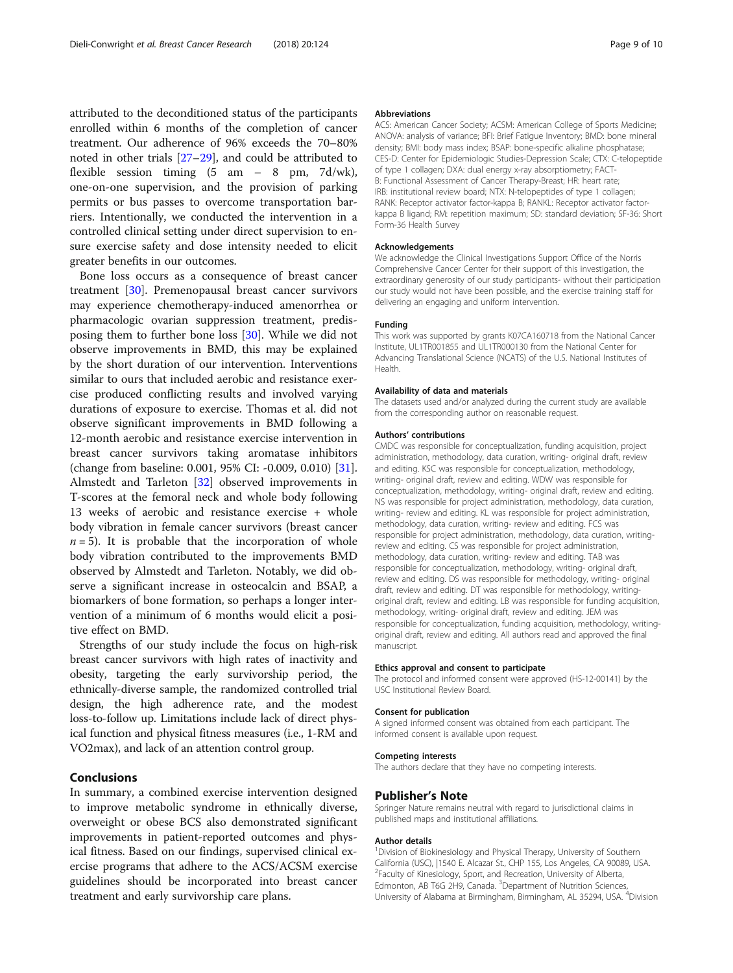attributed to the deconditioned status of the participants enrolled within 6 months of the completion of cancer treatment. Our adherence of 96% exceeds the 70–80% noted in other trials [[27](#page-9-0)–[29](#page-9-0)], and could be attributed to flexible session timing (5 am – 8 pm, 7d/wk), one-on-one supervision, and the provision of parking permits or bus passes to overcome transportation barriers. Intentionally, we conducted the intervention in a controlled clinical setting under direct supervision to ensure exercise safety and dose intensity needed to elicit greater benefits in our outcomes.

Bone loss occurs as a consequence of breast cancer treatment [[30\]](#page-9-0). Premenopausal breast cancer survivors may experience chemotherapy-induced amenorrhea or pharmacologic ovarian suppression treatment, predisposing them to further bone loss [[30](#page-9-0)]. While we did not observe improvements in BMD, this may be explained by the short duration of our intervention. Interventions similar to ours that included aerobic and resistance exercise produced conflicting results and involved varying durations of exposure to exercise. Thomas et al. did not observe significant improvements in BMD following a 12-month aerobic and resistance exercise intervention in breast cancer survivors taking aromatase inhibitors (change from baseline: 0.001, 95% CI: -0.009, 0.010) [\[31](#page-9-0)]. Almstedt and Tarleton [[32](#page-9-0)] observed improvements in T-scores at the femoral neck and whole body following 13 weeks of aerobic and resistance exercise + whole body vibration in female cancer survivors (breast cancer  $n = 5$ ). It is probable that the incorporation of whole body vibration contributed to the improvements BMD observed by Almstedt and Tarleton. Notably, we did observe a significant increase in osteocalcin and BSAP, a biomarkers of bone formation, so perhaps a longer intervention of a minimum of 6 months would elicit a positive effect on BMD.

Strengths of our study include the focus on high-risk breast cancer survivors with high rates of inactivity and obesity, targeting the early survivorship period, the ethnically-diverse sample, the randomized controlled trial design, the high adherence rate, and the modest loss-to-follow up. Limitations include lack of direct physical function and physical fitness measures (i.e., 1-RM and VO2max), and lack of an attention control group.

# Conclusions

In summary, a combined exercise intervention designed to improve metabolic syndrome in ethnically diverse, overweight or obese BCS also demonstrated significant improvements in patient-reported outcomes and physical fitness. Based on our findings, supervised clinical exercise programs that adhere to the ACS/ACSM exercise guidelines should be incorporated into breast cancer treatment and early survivorship care plans.

#### Abbreviations

ACS: American Cancer Society; ACSM: American College of Sports Medicine; ANOVA: analysis of variance; BFI: Brief Fatigue Inventory; BMD: bone mineral density; BMI: body mass index; BSAP: bone-specific alkaline phosphatase; CES-D: Center for Epidemiologic Studies-Depression Scale; CTX: C-telopeptide of type 1 collagen; DXA: dual energy x-ray absorptiometry; FACT-B: Functional Assessment of Cancer Therapy-Breast; HR: heart rate; IRB: institutional review board; NTX: N-telopeptides of type 1 collagen; RANK: Receptor activator factor-kappa B; RANKL: Receptor activator factorkappa B ligand; RM: repetition maximum; SD: standard deviation; SF-36: Short Form-36 Health Survey

#### Acknowledgements

We acknowledge the Clinical Investigations Support Office of the Norris Comprehensive Cancer Center for their support of this investigation, the extraordinary generosity of our study participants- without their participation our study would not have been possible, and the exercise training staff for delivering an engaging and uniform intervention.

#### Funding

This work was supported by grants K07CA160718 from the National Cancer Institute, UL1TR001855 and UL1TR000130 from the National Center for Advancing Translational Science (NCATS) of the U.S. National Institutes of Health.

#### Availability of data and materials

The datasets used and/or analyzed during the current study are available from the corresponding author on reasonable request.

#### Authors' contributions

CMDC was responsible for conceptualization, funding acquisition, project administration, methodology, data curation, writing- original draft, review and editing. KSC was responsible for conceptualization, methodology, writing- original draft, review and editing. WDW was responsible for conceptualization, methodology, writing- original draft, review and editing. NS was responsible for project administration, methodology, data curation, writing- review and editing. KL was responsible for project administration, methodology, data curation, writing- review and editing. FCS was responsible for project administration, methodology, data curation, writingreview and editing. CS was responsible for project administration, methodology, data curation, writing- review and editing. TAB was responsible for conceptualization, methodology, writing- original draft, review and editing. DS was responsible for methodology, writing- original draft, review and editing. DT was responsible for methodology, writingoriginal draft, review and editing. LB was responsible for funding acquisition, methodology, writing- original draft, review and editing. JEM was responsible for conceptualization, funding acquisition, methodology, writingoriginal draft, review and editing. All authors read and approved the final manuscript.

#### Ethics approval and consent to participate

The protocol and informed consent were approved (HS-12-00141) by the USC Institutional Review Board.

#### Consent for publication

A signed informed consent was obtained from each participant. The informed consent is available upon request.

#### Competing interests

The authors declare that they have no competing interests.

#### Publisher's Note

Springer Nature remains neutral with regard to jurisdictional claims in published maps and institutional affiliations.

#### Author details

<sup>1</sup> Division of Biokinesiology and Physical Therapy, University of Southern California (USC), |1540 E. Alcazar St., CHP 155, Los Angeles, CA 90089, USA. 2 Faculty of Kinesiology, Sport, and Recreation, University of Alberta, Edmonton, AB T6G 2H9, Canada. <sup>3</sup>Department of Nutrition Sciences, University of Alabama at Birmingham, Birmingham, AL 35294, USA. <sup>4</sup>Division